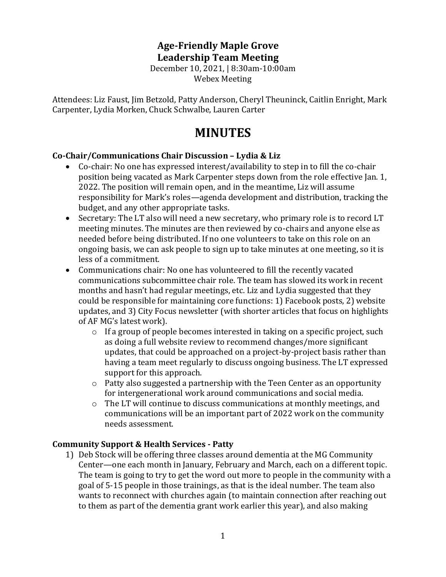# **Age-Friendly Maple Grove Leadership Team Meeting**

December 10, 2021, | 8:30am-10:00am Webex Meeting

Attendees: Liz Faust, Jim Betzold, Patty Anderson, Cheryl Theuninck, Caitlin Enright, Mark Carpenter, Lydia Morken, Chuck Schwalbe, Lauren Carter

# **MINUTES**

#### **Co-Chair/Communications Chair Discussion – Lydia & Liz**

- Co-chair: No one has expressed interest/availability to step in to fill the co-chair position being vacated as Mark Carpenter steps down from the role effective Jan. 1, 2022. The position will remain open, and in the meantime, Liz will assume responsibility for Mark's roles—agenda development and distribution, tracking the budget, and any other appropriate tasks.
- Secretary: The LT also will need a new secretary, who primary role is to record LT meeting minutes. The minutes are then reviewed by co-chairs and anyone else as needed before being distributed. If no one volunteers to take on this role on an ongoing basis, we can ask people to sign up to take minutes at one meeting, so it is less of a commitment.
- Communications chair: No one has volunteered to fill the recently vacated communications subcommittee chair role. The team has slowed its work in recent months and hasn't had regular meetings, etc. Liz and Lydia suggested that they could be responsible for maintaining core functions: 1) Facebook posts, 2) website updates, and 3) City Focus newsletter (with shorter articles that focus on highlights of AF MG's latest work).
	- o If a group of people becomes interested in taking on a specific project, such as doing a full website review to recommend changes/more significant updates, that could be approached on a project-by-project basis rather than having a team meet regularly to discuss ongoing business. The LT expressed support for this approach.
	- o Patty also suggested a partnership with the Teen Center as an opportunity for intergenerational work around communications and social media.
	- o The LT will continue to discuss communications at monthly meetings, and communications will be an important part of 2022 work on the community needs assessment.

#### **Community Support & Health Services - Patty**

1) Deb Stock will be offering three classes around dementia at the MG Community Center—one each month in January, February and March, each on a different topic. The team is going to try to get the word out more to people in the community with a goal of 5-15 people in those trainings, as that is the ideal number. The team also wants to reconnect with churches again (to maintain connection after reaching out to them as part of the dementia grant work earlier this year), and also making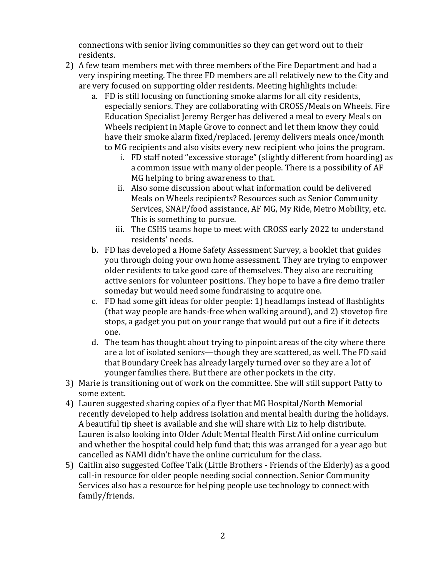connections with senior living communities so they can get word out to their residents.

- 2) A few team members met with three members of the Fire Department and had a very inspiring meeting. The three FD members are all relatively new to the City and are very focused on supporting older residents. Meeting highlights include:
	- a. FD is still focusing on functioning smoke alarms for all city residents, especially seniors. They are collaborating with CROSS/Meals on Wheels. Fire Education Specialist Jeremy Berger has delivered a meal to every Meals on Wheels recipient in Maple Grove to connect and let them know they could have their smoke alarm fixed/replaced. Jeremy delivers meals once/month to MG recipients and also visits every new recipient who joins the program.
		- i. FD staff noted "excessive storage" (slightly different from hoarding) as a common issue with many older people. There is a possibility of AF MG helping to bring awareness to that.
		- ii. Also some discussion about what information could be delivered Meals on Wheels recipients? Resources such as Senior Community Services, SNAP/food assistance, AF MG, My Ride, Metro Mobility, etc. This is something to pursue.
		- iii. The CSHS teams hope to meet with CROSS early 2022 to understand residents' needs.
	- b. FD has developed a Home Safety Assessment Survey, a booklet that guides you through doing your own home assessment. They are trying to empower older residents to take good care of themselves. They also are recruiting active seniors for volunteer positions. They hope to have a fire demo trailer someday but would need some fundraising to acquire one.
	- c. FD had some gift ideas for older people: 1) headlamps instead of flashlights (that way people are hands-free when walking around), and 2) stovetop fire stops, a gadget you put on your range that would put out a fire if it detects one.
	- d. The team has thought about trying to pinpoint areas of the city where there are a lot of isolated seniors—though they are scattered, as well. The FD said that Boundary Creek has already largely turned over so they are a lot of younger families there. But there are other pockets in the city.
- 3) Marie is transitioning out of work on the committee. She will still support Patty to some extent.
- 4) Lauren suggested sharing copies of a flyer that MG Hospital/North Memorial recently developed to help address isolation and mental health during the holidays. A beautiful tip sheet is available and she will share with Liz to help distribute. Lauren is also looking into Older Adult Mental Health First Aid online curriculum and whether the hospital could help fund that; this was arranged for a year ago but cancelled as NAMI didn't have the online curriculum for the class.
- 5) Caitlin also suggested Coffee Talk (Little Brothers Friends of the Elderly) as a good call-in resource for older people needing social connection. Senior Community Services also has a resource for helping people use technology to connect with family/friends.